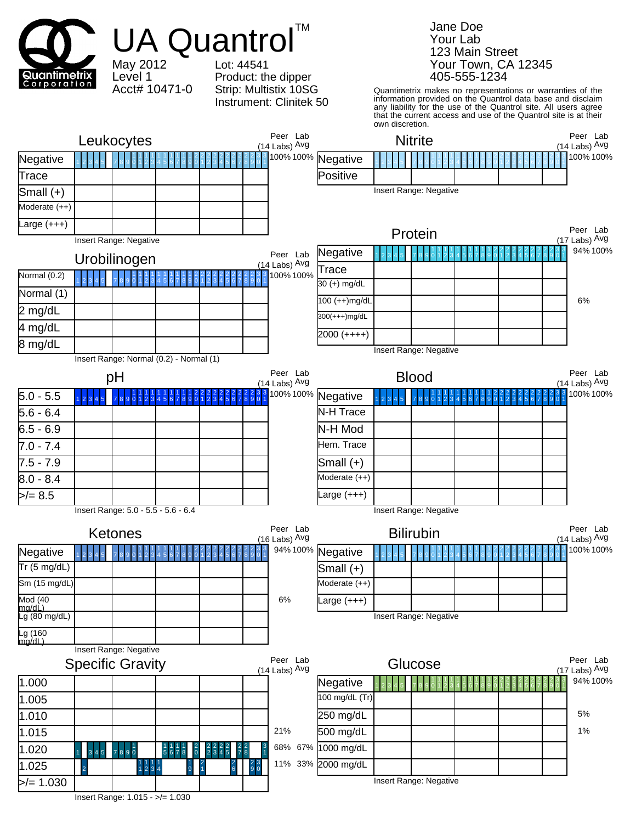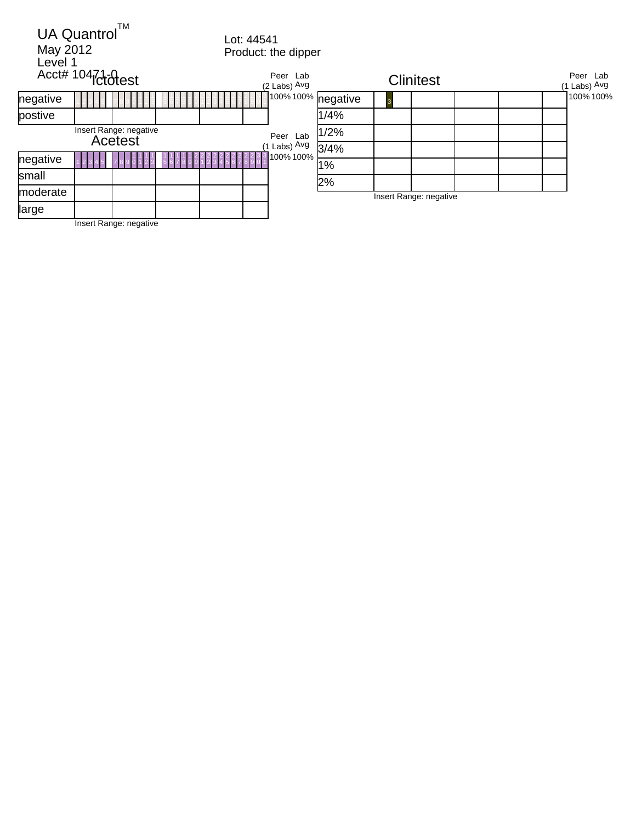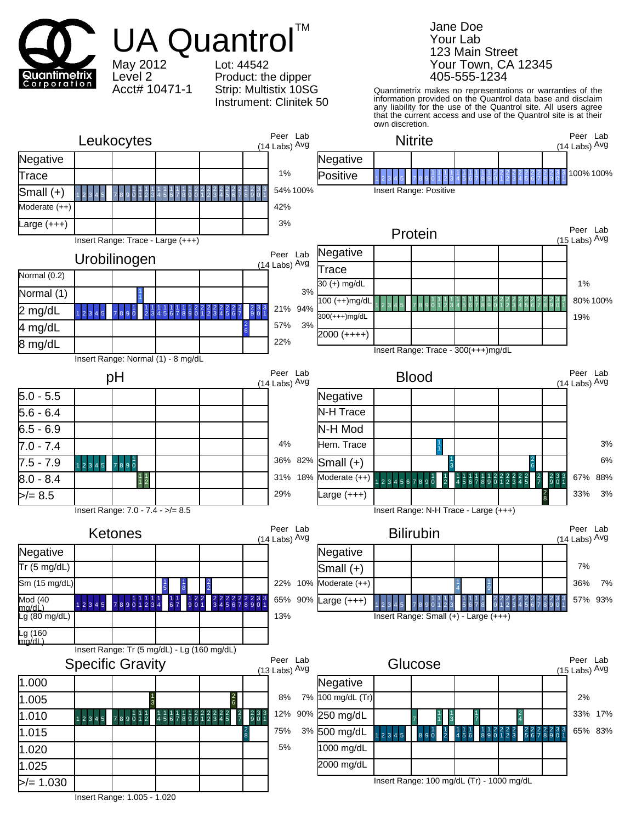

Insert Range: 1.005 - 1.020

Jane Doe